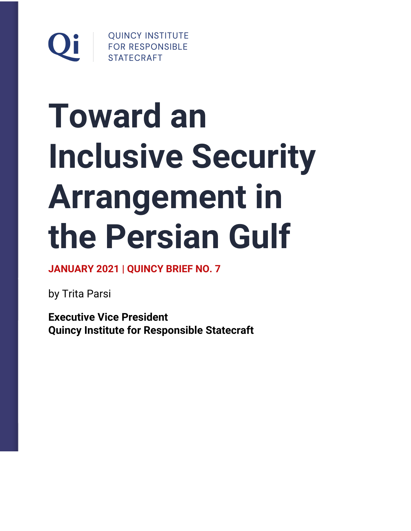

# **Toward an Inclusive Security Arrangement in the Persian Gulf**

**JANUARY 2021 | QUINCY BRIEF NO. 7**

by Trita Parsi

**Executive Vice President Quincy Institute for Responsible Statecraft**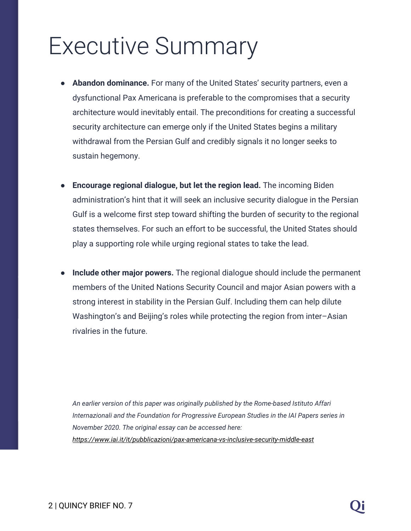## Executive Summary

- **Abandon dominance.** For many of the United States' security partners, even a dysfunctional Pax Americana is preferable to the compromises that a security architecture would inevitably entail. The preconditions for creating a successful security architecture can emerge only if the United States begins a military withdrawal from the Persian Gulf and credibly signals it no longer seeks to sustain hegemony.
- **Encourage regional dialogue, but let the region lead.** The incoming Biden administration's hint that it will seek an inclusive security dialogue in the Persian Gulf is a welcome first step toward shifting the burden of security to the regional states themselves. For such an effort to be successful, the United States should play a supporting role while urging regional states to take the lead.
- **Include other major powers.** The regional dialogue should include the permanent members of the United Nations Security Council and major Asian powers with a strong interest in stability in the Persian Gulf. Including them can help dilute Washington's and Beijing's roles while protecting the region from inter–Asian rivalries in the future.

*An earlier version of this paper was originally published by the Rome-based Istituto Affari Internazionali and the Foundation for Progressive European Studies in the IAI Papers series in November 2020. The original essay can be accessed here: <https://www.iai.it/it/pubblicazioni/pax-americana-vs-inclusive-security-middle-east>*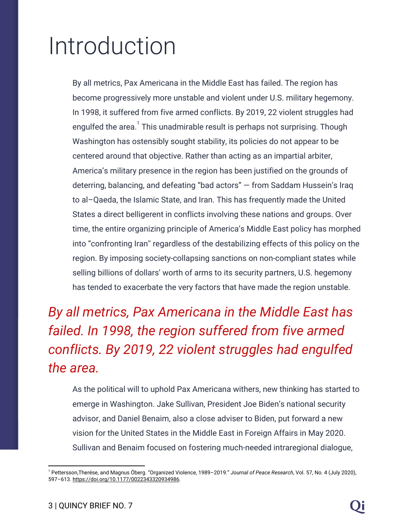# Introduction

By all metrics, Pax Americana in the Middle East has failed. The region has become progressively more unstable and violent under U.S. military hegemony. In 1998, it suffered from five armed conflicts. By 2019, 22 violent struggles had engulfed the area. $1$  This unadmirable result is perhaps not surprising. Though Washington has ostensibly sought stability, its policies do not appear to be centered around that objective. Rather than acting as an impartial arbiter, America's military presence in the region has been justified on the grounds of deterring, balancing, and defeating "bad actors" — from Saddam Hussein's Iraq to al–Qaeda, the Islamic State, and Iran. This has frequently made the United States a direct belligerent in conflicts involving these nations and groups. Over time, the entire organizing principle of America's Middle East policy has morphed into "confronting Iran'' regardless of the destabilizing effects of this policy on the region. By imposing society-collapsing sanctions on non-compliant states while selling billions of dollars' worth of arms to its security partners, U.S. hegemony has tended to exacerbate the very factors that have made the region unstable.

*By all metrics, Pax Americana in the Middle East has failed. In 1998, the region suffered from five armed conflicts. By 2019, 22 violent struggles had engulfed the area.*

As the political will to uphold Pax Americana withers, new thinking has started to emerge in Washington. Jake Sullivan, President Joe Biden's national security advisor, and Daniel Benaim, also a close adviser to Biden, put forward a new vision for the United States in the Middle East in Foreign Affairs in May 2020. Sullivan and Benaim focused on fostering much-needed intraregional dialogue,

<sup>1</sup> Pettersson,Therése, and Magnus Öberg. "Organized Violence, 1989–2019." *Journal of Peace Research*, Vol. 57, No. 4 (July 2020), 597–613. <https://doi.org/10.1177/0022343320934986>.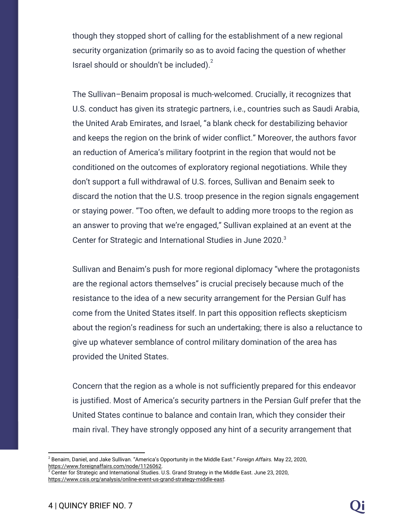though they stopped short of calling for the establishment of a new regional security organization (primarily so as to avoid facing the question of whether Israel should or shouldn't be included). $2$ 

The Sullivan–Benaim proposal is much-welcomed. Crucially, it recognizes that U.S. conduct has given its strategic partners, i.e., countries such as Saudi Arabia, the United Arab Emirates, and Israel, "a blank check for destabilizing behavior and keeps the region on the brink of wider conflict." Moreover, the authors favor an reduction of America's military footprint in the region that would not be conditioned on the outcomes of exploratory regional negotiations. While they don't support a full withdrawal of U.S. forces, Sullivan and Benaim seek to discard the notion that the U.S. troop presence in the region signals engagement or staying power. "Too often, we default to adding more troops to the region as an answer to proving that we're engaged," Sullivan explained at an event at the Center for Strategic and International Studies in June 2020.<sup>3</sup>

Sullivan and Benaim's push for more regional diplomacy "where the protagonists are the regional actors themselves" is crucial precisely because much of the resistance to the idea of a new security arrangement for the Persian Gulf has come from the United States itself. In part this opposition reflects skepticism about the region's readiness for such an undertaking; there is also a reluctance to give up whatever semblance of control military domination of the area has provided the United States.

Concern that the region as a whole is not sufficiently prepared for this endeavor is justified. Most of America's security partners in the Persian Gulf prefer that the United States continue to balance and contain Iran, which they consider their main rival. They have strongly opposed any hint of a security arrangement that

<sup>2</sup> Benaim, Daniel, and Jake Sullivan. "America's Opportunity in the Middle East." *Foreign Affairs.* May 22, 2020, [https://www.foreignaffairs.com/node/1126062.](https://www.foreignaffairs.com/node/1126062)

 $3$  Center for Strategic and International Studies. U.S. Grand Strategy in the Middle East. June 23, 2020, <https://www.csis.org/analysis/online-event-us-grand-strategy-middle-east>.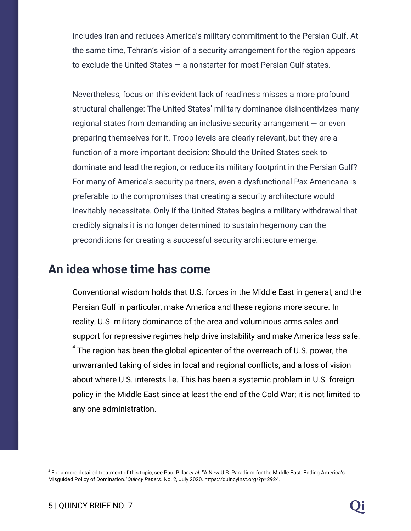includes Iran and reduces America's military commitment to the Persian Gulf. At the same time, Tehran's vision of a security arrangement for the region appears to exclude the United States — a nonstarter for most Persian Gulf states.

Nevertheless, focus on this evident lack of readiness misses a more profound structural challenge: The United States' military dominance disincentivizes many regional states from demanding an inclusive security arrangement — or even preparing themselves for it. Troop levels are clearly relevant, but they are a function of a more important decision: Should the United States seek to dominate and lead the region, or reduce its military footprint in the Persian Gulf? For many of America's security partners, even a dysfunctional Pax Americana is preferable to the compromises that creating a security architecture would inevitably necessitate. Only if the United States begins a military withdrawal that credibly signals it is no longer determined to sustain hegemony can the preconditions for creating a successful security architecture emerge.

#### **An idea whose time has come**

Conventional wisdom holds that U.S. forces in the Middle East in general, and the Persian Gulf in particular, make America and these regions more secure. In reality, U.S. military dominance of the area and voluminous arms sales and support for repressive regimes help drive instability and make America less safe.  $^4$  The region has been the global epicenter of the overreach of U.S. power, the unwarranted taking of sides in local and regional conflicts, and a loss of vision about where U.S. interests lie. This has been a systemic problem in U.S. foreign policy in the Middle East since at least the end of the Cold War; it is not limited to any one administration.

<sup>4</sup> For a more detailed treatment of this topic, see Paul Pillar *et al.* "A New U.S. Paradigm for the Middle East: Ending America's Misguided Policy of Domination."*Quincy Papers*. No. 2, July 2020. [https://quincyinst.org/?p=2924.](https://quincyinst.org/?p=2924)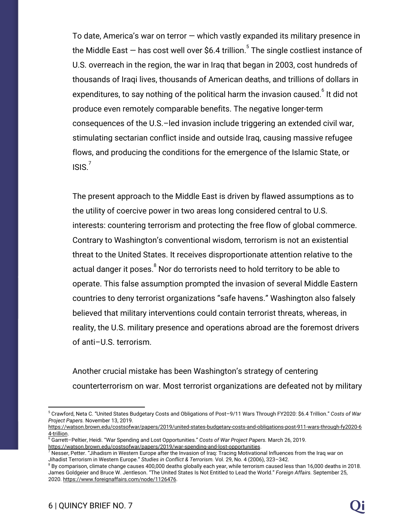To date, America's war on terror — which vastly expanded its military presence in the Middle East  $-$  has cost well over \$6.4 trillion.<sup>5</sup> The single costliest instance of U.S. overreach in the region, the war in Iraq that began in 2003, cost hundreds of thousands of Iraqi lives, thousands of American deaths, and trillions of dollars in expenditures, to say nothing of the political harm the invasion caused. $^6$  It did not produce even remotely comparable benefits. The negative longer-term consequences of the U.S.–led invasion include triggering an extended civil war, stimulating sectarian conflict inside and outside Iraq, causing massive refugee flows, and producing the conditions for the emergence of the Islamic State, or  $ISIS.<sup>7</sup>$ 

The present approach to the Middle East is driven by flawed assumptions as to the utility of coercive power in two areas long considered central to U.S. interests: countering terrorism and protecting the free flow of global commerce. Contrary to Washington's conventional wisdom, terrorism is not an existential threat to the United States. It receives disproportionate attention relative to the actual danger it poses.<sup>8</sup> Nor do terrorists need to hold territory to be able to operate. This false assumption prompted the invasion of several Middle Eastern countries to deny terrorist organizations "safe havens." Washington also falsely believed that military interventions could contain terrorist threats, whereas, in reality, the U.S. military presence and operations abroad are the foremost drivers of anti–U.S. terrorism.

Another crucial mistake has been Washington's strategy of centering counterterrorism on war. Most terrorist organizations are defeated not by military

<sup>5</sup> Crawford, Neta C. "United States Budgetary Costs and Obligations of Post–9/11 Wars Through FY2020: \$6.4 Trillion." *Costs of War Project Papers.* November 13, 2019.

[https://watson.brown.edu/costsofwar/papers/2019/united-states-budgetary-costs-and-obligations-post-911-wars-through-fy2020-6](https://watson.brown.edu/costsofwar/papers/2019/united-states-budgetary-costs-and-obligations-post-911-wars-through-fy2020-64-trillion) [4-trillion](https://watson.brown.edu/costsofwar/papers/2019/united-states-budgetary-costs-and-obligations-post-911-wars-through-fy2020-64-trillion).

<sup>6</sup> Garrett–Peltier, Heidi. "War Spending and Lost Opportunities." *Costs of War Project Papers.* March 26, 2019. [https://watson.brown.edu/costsofwar/papers/2019/war-spending-and-lost-opportunities.](https://watson.brown.edu/costsofwar/papers/2019/war-spending-and-lost-opportunities)

 $^7$  Nesser, Petter. "Jihadism in Western Europe after the Invasion of Iraq: Tracing Motivational Influences from the Iraq war on Jihadist Terrorism in Western Europe." *Studies in Conflict & Terrorism.* Vol. 29, No. 4 (2006), 323–342.

 $8$  By comparison, climate change causes 400,000 deaths globally each year, while terrorism caused less than 16,000 deaths in 2018. James Goldgeier and Bruce W. Jentleson. "The United States Is Not Entitled to Lead the World." *Foreign Affairs.* September 25, 2020. <https://www.foreignaffairs.com/node/1126476>.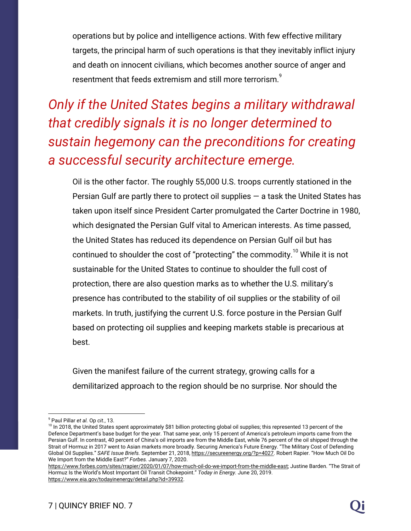operations but by police and intelligence actions. With few effective military targets, the principal harm of such operations is that they inevitably inflict injury and death on innocent civilians, which becomes another source of anger and resentment that feeds extremism and still more terrorism.<sup>9</sup>

*Only if the United States begins a military withdrawal that credibly signals it is no longer determined to sustain hegemony can the preconditions for creating a successful security architecture emerge.*

Oil is the other factor. The roughly 55,000 U.S. troops currently stationed in the Persian Gulf are partly there to protect oil supplies  $-$  a task the United States has taken upon itself since President Carter promulgated the Carter Doctrine in 1980, which designated the Persian Gulf vital to American interests. As time passed, the United States has reduced its dependence on Persian Gulf oil but has continued to shoulder the cost of "protecting" the commodity.<sup>10</sup> While it is not sustainable for the United States to continue to shoulder the full cost of protection, there are also question marks as to whether the U.S. military's presence has contributed to the stability of oil supplies or the stability of oil markets. In truth, justifying the current U.S. force posture in the Persian Gulf based on protecting oil supplies and keeping markets stable is precarious at best.

Given the manifest failure of the current strategy, growing calls for a demilitarized approach to the region should be no surprise. Nor should the

<sup>9</sup> Paul Pillar *et al.* Op *cit.*, 13.

<sup>&</sup>lt;sup>10</sup> In 2018, the United States spent approximately \$81 billion protecting global oil supplies; this represented 13 percent of the Defence Department's base budget for the year. That same year, only 15 percent of America's petroleum imports came from the Persian Gulf. In contrast, 40 percent of China's oil imports are from the Middle East, while 76 percent of the oil shipped through the Strait of Hormuz in 2017 went to Asian markets more broadly. Securing America's Future Energy. "The Military Cost of Defending Global Oil Supplies." *SAFE Issue Briefs.* September 21, 2018, [https://secureenergy.org/?p=4027.](https://secureenergy.org/?p=4027) Robert Rapier. "How Much Oil Do We Import from the Middle East?" *Forbes.* January 7, 2020.

[https://www.forbes.com/sites/rrapier/2020/01/07/how-much-oil-do-we-import-from-the-middle-east;](https://www.forbes.com/sites/rrapier/2020/01/07/how-much-oil-do-we-import-from-the-middle-east) Justine Barden. "The Strait of Hormuz Is the World's Most Important Oil Transit Chokepoint." *Today in Energy.* June 20, 2019. <https://www.eia.gov/todayinenergy/detail.php?id=39932>.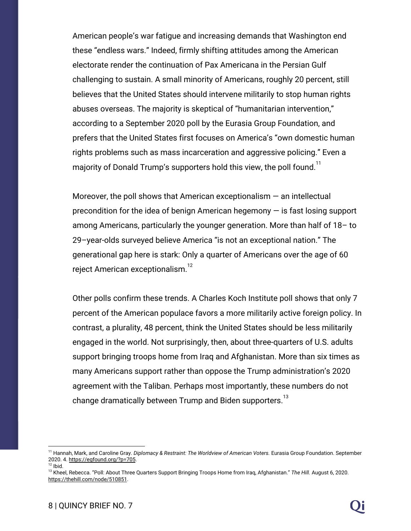American people's war fatigue and increasing demands that Washington end these "endless wars." Indeed, firmly shifting attitudes among the American electorate render the continuation of Pax Americana in the Persian Gulf challenging to sustain. A small minority of Americans, roughly 20 percent, still believes that the United States should intervene militarily to stop human rights abuses overseas. The majority is skeptical of "humanitarian intervention," according to a September 2020 poll by the Eurasia Group Foundation, and prefers that the United States first focuses on America's "own domestic human rights problems such as mass incarceration and aggressive policing." Even a majority of Donald Trump's supporters hold this view, the poll found.<sup>11</sup>

Moreover, the poll shows that American exceptionalism  $-$  an intellectual precondition for the idea of benign American hegemony — is fast losing support among Americans, particularly the younger generation. More than half of 18– to 29–year-olds surveyed believe America "is not an exceptional nation." The generational gap here is stark: Only a quarter of Americans over the age of 60 reject American exceptionalism.<sup>12</sup>

Other polls confirm these trends. A Charles Koch Institute poll shows that only 7 percent of the American populace favors a more militarily active foreign policy. In contrast, a plurality, 48 percent, think the United States should be less militarily engaged in the world. Not surprisingly, then, about three-quarters of U.S. adults support bringing troops home from Iraq and Afghanistan. More than six times as many Americans support rather than oppose the Trump administration's 2020 agreement with the Taliban. Perhaps most importantly, these numbers do not change dramatically between Trump and Biden supporters.<sup>13</sup>

<sup>11</sup> Hannah, Mark, and Caroline Gray. *Diplomacy & Restraint: The Worldview of American Voters.* Eurasia Group Foundation. September 2020. 4. [https://egfound.org/?p=705.](https://egfound.org/?p=705)

 $12$  lbid.

<sup>13</sup> Kheel, Rebecca. "Poll: About Three Quarters Support Bringing Troops Home from Iraq, Afghanistan." *The Hill.* August 6, 2020. <https://thehill.com/node/510851>.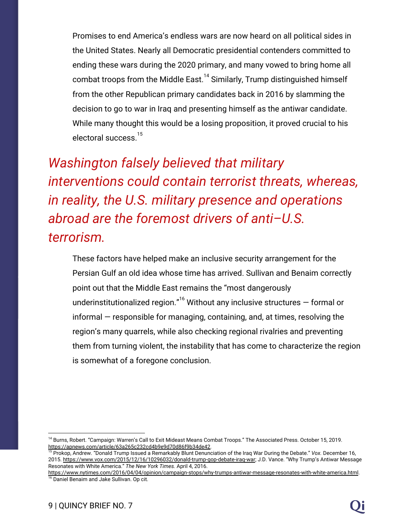Promises to end America's endless wars are now heard on all political sides in the United States. Nearly all Democratic presidential contenders committed to ending these wars during the 2020 primary, and many vowed to bring home all combat troops from the Middle East.<sup>14</sup> Similarly, Trump distinguished himself from the other Republican primary candidates back in 2016 by slamming the decision to go to war in Iraq and presenting himself as the antiwar candidate. While many thought this would be a losing proposition, it proved crucial to his electoral success.<sup>15</sup>

*Washington falsely believed that military interventions could contain terrorist threats, whereas, in reality, the U.S. military presence and operations abroad are the foremost drivers of anti–U.S. terrorism.*

These factors have helped make an inclusive security arrangement for the Persian Gulf an old idea whose time has arrived. Sullivan and Benaim correctly point out that the Middle East remains the "most dangerously underinstitutionalized region."<sup>16</sup> Without any inclusive structures  $-$  formal or informal — responsible for managing, containing, and, at times, resolving the region's many quarrels, while also checking regional rivalries and preventing them from turning violent, the instability that has come to characterize the region is somewhat of a foregone conclusion.

<sup>&</sup>lt;sup>14</sup> Burns, Robert. "Campaign: Warren's Call to Exit Mideast Means Combat Troops." The Associated Press. October 15, 2019. [https://apnews.com/article/63a265c232cd4b9e9d70d86f9b34de42.](https://apnews.com/article/63a265c232cd4b9e9d70d86f9b34de42)

<sup>15</sup> Prokop, Andrew. "Donald Trump Issued a Remarkably Blunt Denunciation of the Iraq War During the Debate." *Vox.* December 16, 2015. <https://www.vox.com/2015/12/16/10296032/donald-trump-gop-debate-iraq-war>; J.D. Vance. "Why Trump's Antiwar Message Resonates with White America." *The New York Times.* April 4, 2016.

<https://www.nytimes.com/2016/04/04/opinion/campaign-stops/why-trumps-antiwar-message-resonates-with-white-america.html>. <sup>16</sup> Daniel Benaim and Jake Sullivan. Op cit.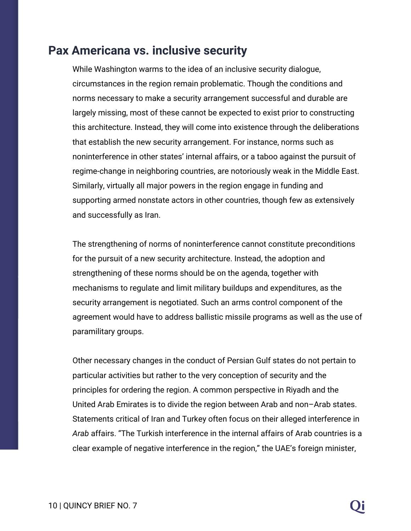#### **Pax Americana vs. inclusive security**

While Washington warms to the idea of an inclusive security dialogue, circumstances in the region remain problematic. Though the conditions and norms necessary to make a security arrangement successful and durable are largely missing, most of these cannot be expected to exist prior to constructing this architecture. Instead, they will come into existence through the deliberations that establish the new security arrangement. For instance, norms such as noninterference in other states' internal affairs, or a taboo against the pursuit of regime-change in neighboring countries, are notoriously weak in the Middle East. Similarly, virtually all major powers in the region engage in funding and supporting armed nonstate actors in other countries, though few as extensively and successfully as Iran.

The strengthening of norms of noninterference cannot constitute preconditions for the pursuit of a new security architecture. Instead, the adoption and strengthening of these norms should be on the agenda, together with mechanisms to regulate and limit military buildups and expenditures, as the security arrangement is negotiated. Such an arms control component of the agreement would have to address ballistic missile programs as well as the use of paramilitary groups.

Other necessary changes in the conduct of Persian Gulf states do not pertain to particular activities but rather to the very conception of security and the principles for ordering the region. A common perspective in Riyadh and the United Arab Emirates is to divide the region between Arab and non–Arab states. Statements critical of Iran and Turkey often focus on their alleged interference in *Arab* affairs. "The Turkish interference in the internal affairs of Arab countries is a clear example of negative interference in the region," the UAE's foreign minister,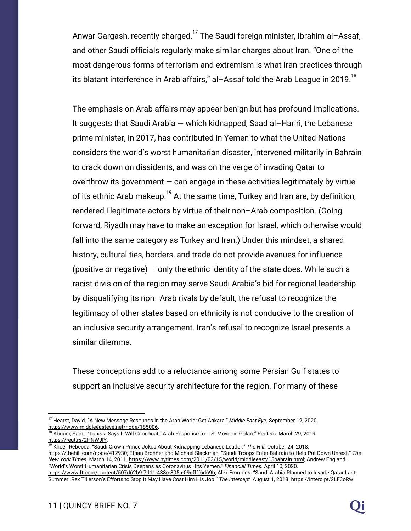Anwar Gargash, recently charged.<sup>17</sup> The Saudi foreign minister, Ibrahim al-Assaf, and other Saudi officials regularly make similar charges about Iran. "One of the most dangerous forms of terrorism and extremism is what Iran practices through its blatant interference in Arab affairs," al-Assaf told the Arab League in 2019.<sup>18</sup>

The emphasis on Arab affairs may appear benign but has profound implications. It suggests that Saudi Arabia — which kidnapped, Saad al–Hariri, the Lebanese prime minister, in 2017, has contributed in Yemen to what the United Nations considers the world's worst humanitarian disaster, intervened militarily in Bahrain to crack down on dissidents, and was on the verge of invading Qatar to overthrow its government  $-$  can engage in these activities legitimately by virtue of its ethnic Arab makeup.<sup>19</sup> At the same time, Turkey and Iran are, by definition, rendered illegitimate actors by virtue of their non–Arab composition. (Going forward, Riyadh may have to make an exception for Israel, which otherwise would fall into the same category as Turkey and Iran.) Under this mindset, a shared history, cultural ties, borders, and trade do not provide avenues for influence (positive or negative)  $-$  only the ethnic identity of the state does. While such a racist division of the region may serve Saudi Arabia's bid for regional leadership by disqualifying its non–Arab rivals by default, the refusal to recognize the legitimacy of other states based on ethnicity is not conducive to the creation of an inclusive security arrangement. Iran's refusal to recognize Israel presents a similar dilemma.

These conceptions add to a reluctance among some Persian Gulf states to support an inclusive security architecture for the region. For many of these

<sup>17</sup> Hearst, David. "A New Message Resounds in the Arab World: Get Ankara." *Middle East Eye.* September 12, 2020. [https://www.middleeasteye.net/node/185006.](https://www.middleeasteye.net/node/185006)

<sup>&</sup>lt;sup>8</sup> Aboudi, Sami. "Tunisia Says It Will Coordinate Arab Response to U.S. Move on Golan." Reuters. March 29, 2019. <https://reut.rs/2HNWJlY>.

<sup>19</sup> Kheel, Rebecca. "Saudi Crown Prince Jokes About Kidnapping Lebanese Leader." *The Hill.* October 24, 2018. https://thehill.com/node/412930; Ethan Bronner and Michael Slackman. "Saudi Troops Enter Bahrain to Help Put Down Unrest." *The New York Times.* March 14, 2011. [https://www.nytimes.com/2011/03/15/world/middleeast/15bahrain.html;](https://www.nytimes.com/2011/03/15/world/middleeast/15bahrain.html) Andrew England. "World's Worst Humanitarian Crisis Deepens as Coronavirus Hits Yemen." *Financial Times.* April 10, 2020.

<https://www.ft.com/content/507d62b9-7d11-438c-805a-09cffff6d69b>; Alex Emmons. "Saudi Arabia Planned to Invade Qatar Last Summer. Rex Tillerson's Efforts to Stop It May Have Cost Him His Job." *The Intercept.* August 1, 2018. <https://interc.pt/2LF3oRw>.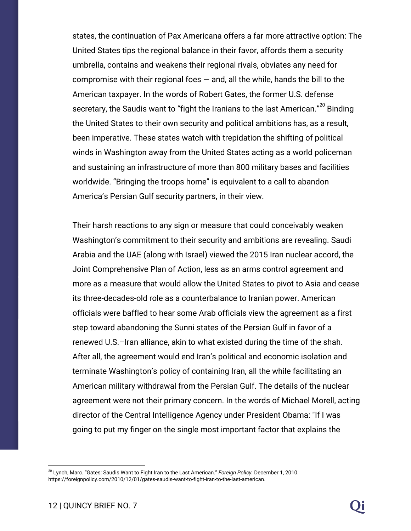states, the continuation of Pax Americana offers a far more attractive option: The United States tips the regional balance in their favor, affords them a security umbrella, contains and weakens their regional rivals, obviates any need for compromise with their regional foes  $-$  and, all the while, hands the bill to the American taxpayer. In the words of Robert Gates, the former U.S. defense secretary, the Saudis want to "fight the Iranians to the last American."<sup>20</sup> Binding the United States to their own security and political ambitions has, as a result, been imperative. These states watch with trepidation the shifting of political winds in Washington away from the United States acting as a world policeman and sustaining an infrastructure of more than 800 military bases and facilities worldwide. "Bringing the troops home" is equivalent to a call to abandon America's Persian Gulf security partners, in their view.

Their harsh reactions to any sign or measure that could conceivably weaken Washington's commitment to their security and ambitions are revealing. Saudi Arabia and the UAE (along with Israel) viewed the 2015 Iran nuclear accord, the Joint Comprehensive Plan of Action, less as an arms control agreement and more as a measure that would allow the United States to pivot to Asia and cease its three-decades-old role as a counterbalance to Iranian power. American officials were baffled to hear some Arab officials view the agreement as a first step toward abandoning the Sunni states of the Persian Gulf in favor of a renewed U.S.–Iran alliance, akin to what existed during the time of the shah. After all, the agreement would end Iran's political and economic isolation and terminate Washington's policy of containing Iran, all the while facilitating an American military withdrawal from the Persian Gulf. The details of the nuclear agreement were not their primary concern. In the words of Michael Morell, acting director of the Central Intelligence Agency under President Obama: "If I was going to put my finger on the single most important factor that explains the

<sup>20</sup> Lynch, Marc. "Gates: Saudis Want to Fight Iran to the Last American." *Foreign Policy.* December 1, 2010. [https://foreignpolicy.com/2010/12/01/gates-saudis-want-to-fight-iran-to-the-last-american.](https://foreignpolicy.com/2010/12/01/gates-saudis-want-to-fight-iran-to-the-last-american)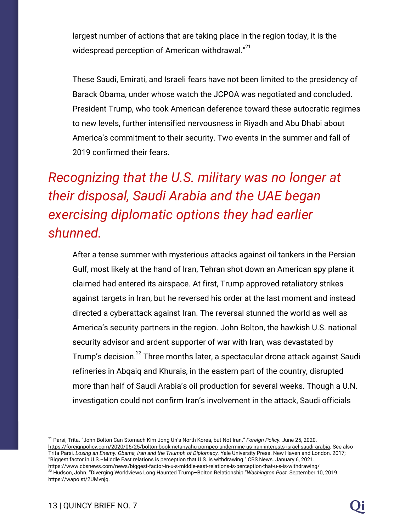largest number of actions that are taking place in the region today, it is the widespread perception of American withdrawal."<sup>21</sup>

These Saudi, Emirati, and Israeli fears have not been limited to the presidency of Barack Obama, under whose watch the JCPOA was negotiated and concluded. President Trump, who took American deference toward these autocratic regimes to new levels, further intensified nervousness in Riyadh and Abu Dhabi about America's commitment to their security. Two events in the summer and fall of 2019 confirmed their fears.

### *Recognizing that the U.S. military was no longer at their disposal, Saudi Arabia and the UAE began exercising diplomatic options they had earlier shunned.*

After a tense summer with mysterious attacks against oil tankers in the Persian Gulf, most likely at the hand of Iran, Tehran shot down an American spy plane it claimed had entered its airspace. At first, Trump approved retaliatory strikes against targets in Iran, but he reversed his order at the last moment and instead directed a cyberattack against Iran. The reversal stunned the world as well as America's security partners in the region. John Bolton, the hawkish U.S. national security advisor and ardent supporter of war with Iran, was devastated by Trump's decision.<sup>22</sup> Three months later, a spectacular drone attack against Saudi refineries in Abqaiq and Khurais, in the eastern part of the country, disrupted more than half of Saudi Arabia's oil production for several weeks. Though a U.N. investigation could not confirm Iran's involvement in the attack, Saudi officials

<sup>21</sup> Parsi, Trita. "John Bolton Can Stomach Kim Jong Un's North Korea, but Not Iran." *Foreign Policy.* June 25, 2020. [https://foreignpolicy.com/2020/06/25/bolton-book-netanyahu-pompeo-undermine-us-iran-interests-israel-saudi-arabia.](https://foreignpolicy.com/2020/06/25/bolton-book-netanyahu-pompeo-undermine-us-iran-interests-israel-saudi-arabia) See also Trita Parsi. *Losing an Enemy: Obama, Iran and the Triumph of Diplomacy.* Yale University Press. New Haven and London. 2017; "Biggest factor in U.S.–Middle East relations is perception that U.S. is withdrawing." CBS News. January 6, 2021. <https://www.cbsnews.com/news/biggest-factor-in-u-s-middle-east-relations-is-perception-that-u-s-is-withdrawing/> <sup>22</sup> Hudson, John. "Diverging Worldviews Long Haunted Trump**–**Bolton Relationship."*Washington Post.* September 10, 2019. [https://wapo.st/2UMvnjq.](https://wapo.st/2UMvnjq)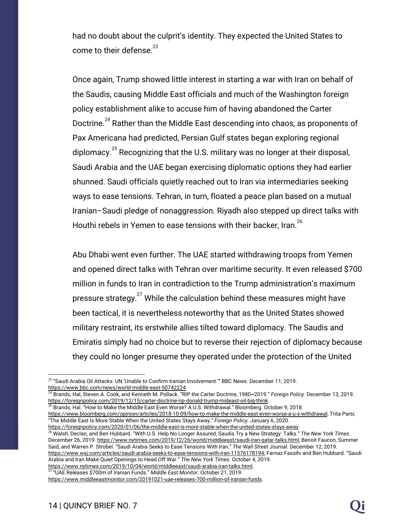had no doubt about the culprit's identity. They expected the United States to come to their defense. $^{23}$ 

Once again, Trump showed little interest in starting a war with Iran on behalf of the Saudis, causing Middle East officials and much of the Washington foreign policy establishment alike to accuse him of having abandoned the Carter Doctrine.<sup>24</sup> Rather than the Middle East descending into chaos, as proponents of Pax Americana had predicted, Persian Gulf states began exploring regional diplomacy.<sup>25</sup> Recognizing that the U.S. military was no longer at their disposal, Saudi Arabia and the UAE began exercising diplomatic options they had earlier shunned. Saudi officials quietly reached out to Iran via intermediaries seeking ways to ease tensions. Tehran, in turn, floated a peace plan based on a mutual Iranian–Saudi pledge of nonaggression. Riyadh also stepped up direct talks with Houthi rebels in Yemen to ease tensions with their backer, Iran.<sup>26</sup>

Abu Dhabi went even further. The UAE started withdrawing troops from Yemen and opened direct talks with Tehran over maritime security. It even released \$700 million in funds to Iran in contradiction to the Trump administration's maximum pressure strategy. $27$  While the calculation behind these measures might have been tactical, it is nevertheless noteworthy that as the United States showed military restraint, its erstwhile allies tilted toward diplomacy. The Saudis and Emiratis simply had no choice but to reverse their rejection of diplomacy because they could no longer presume they operated under the protection of the United

 $^{25}$  Brands, Hal. "How to Make the Middle East Even Worse? A U.S. Withdrawal." Bloomberg. October 9, 2018. [https://www.bloomberg.com/opinion/articles/2018-10-09/how-to-make-the-middle-east-even-worse-a-u-s-withdrawal;](https://www.bloomberg.com/opinion/articles/2018-10-09/how-to-make-the-middle-east-even-worse-a-u-s-withdrawal) Trita Parsi, "The Middle East Is More Stable When the United States Stays Away." *Foreign Policy.* January 6, 2020. [https://foreignpolicy.com/2020/01/06/the-middle-east-is-more-stable-when-the-united-states-stays-away.](https://foreignpolicy.com/2020/01/06/the-middle-east-is-more-stable-when-the-united-states-stays-away)

<sup>26</sup> Walsh, Declan, and Ben Hubbard. "With U.S. Help No Longer Assured, Saudis Try a New Strategy: Talks." *The New York Times.* December 26, 2019. [https://www.nytimes.com/2019/12/26/world/middleeast/saudi-iran-qatar-talks.html;](https://www.nytimes.com/2019/12/26/world/middleeast/saudi-iran-qatar-talks.html) Benoit Faucon, Summer Said, and Warren P. Strobel. "Saudi Arabia Seeks to Ease Tensions With Iran." *The Wall Street Journal.* December 12, 2019. [https://www.wsj.com/articles/saudi-arabia-seeks-to-ease-tensions-with-iran-11576178194;](https://www.wsj.com/articles/saudi-arabia-seeks-to-ease-tensions-with-iran-11576178194) Farnaz Fassihi and Ben Hubbard. "Saudi Arabia and Iran Make Quiet Openings to Head Off War." *The New York Times.* October 4, 2019.

<https://www.nytimes.com/2019/10/04/world/middleeast/saudi-arabia-iran-talks.html>. 27 "UAE Releases \$700m of Iranian Funds." *Middle East Monitor.* October 21, 2019.

<sup>&</sup>lt;sup>23</sup> "Saudi Arabia Oil Attacks: UN 'Unable to Confirm Iranian Involvement.'" BBC News. December 11, 2019. [https://www.bbc.com/news/world-middle-east-50742224.](https://www.bbc.com/news/world-middle-east-50742224)

<sup>24</sup> Brands, Hal, Steven A. Cook, and Kenneth M. Pollack. "RIP the Carter Doctrine, 1980**–**2019." *Foreign Policy.* December 13, 2019. <https://foreignpolicy.com/2019/12/15/carter-doctrine-rip-donald-trump-mideast-oil-big-think>.

<https://www.middleeastmonitor.com/20191021-uae-releases-700-million-of-iranian-funds>.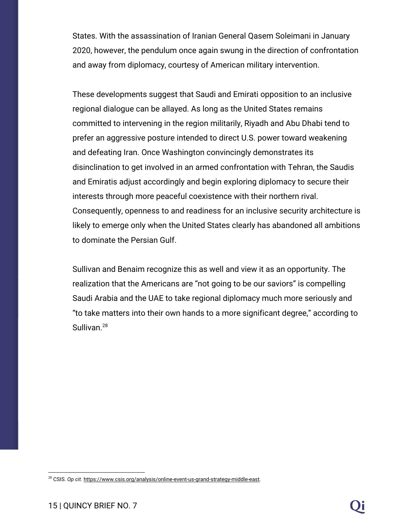States. With the assassination of Iranian General Qasem Soleimani in January 2020, however, the pendulum once again swung in the direction of confrontation and away from diplomacy, courtesy of American military intervention.

These developments suggest that Saudi and Emirati opposition to an inclusive regional dialogue can be allayed. As long as the United States remains committed to intervening in the region militarily, Riyadh and Abu Dhabi tend to prefer an aggressive posture intended to direct U.S. power toward weakening and defeating Iran. Once Washington convincingly demonstrates its disinclination to get involved in an armed confrontation with Tehran, the Saudis and Emiratis adjust accordingly and begin exploring diplomacy to secure their interests through more peaceful coexistence with their northern rival. Consequently, openness to and readiness for an inclusive security architecture is likely to emerge only when the United States clearly has abandoned all ambitions to dominate the Persian Gulf.

Sullivan and Benaim recognize this as well and view it as an opportunity. The realization that the Americans are "not going to be our saviors" is compelling Saudi Arabia and the UAE to take regional diplomacy much more seriously and "to take matters into their own hands to a more significant degree," according to Sullivan.<sup>28</sup>

<sup>28</sup> CSIS. *Op cit.* [https://www.csis.org/analysis/online-event-us-grand-strategy-middle-east.](https://www.csis.org/analysis/online-event-us-grand-strategy-middle-east)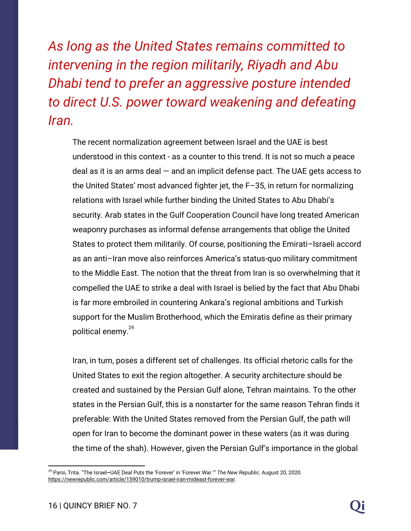*As long as the United States remains committed to intervening in the region militarily, Riyadh and Abu Dhabi tend to prefer an aggressive posture intended to direct U.S. power toward weakening and defeating Iran.*

The recent normalization agreement between Israel and the UAE is best understood in this context - as a counter to this trend. It is not so much a peace deal as it is an arms deal  $-$  and an implicit defense pact. The UAE gets access to the United States' most advanced fighter jet, the F–35, in return for normalizing relations with Israel while further binding the United States to Abu Dhabi's security. Arab states in the Gulf Cooperation Council have long treated American weaponry purchases as informal defense arrangements that oblige the United States to protect them militarily. Of course, positioning the Emirati–Israeli accord as an anti–Iran move also reinforces America's status-quo military commitment to the Middle East. The notion that the threat from Iran is so overwhelming that it compelled the UAE to strike a deal with Israel is belied by the fact that Abu Dhabi is far more embroiled in countering Ankara's regional ambitions and Turkish support for the Muslim Brotherhood, which the Emiratis define as their primary political enemy.<sup>29</sup>

Iran, in turn, poses a different set of challenges. Its official rhetoric calls for the United States to exit the region altogether. A security architecture should be created and sustained by the Persian Gulf alone, Tehran maintains. To the other states in the Persian Gulf, this is a nonstarter for the same reason Tehran finds it preferable: With the United States removed from the Persian Gulf, the path will open for Iran to become the dominant power in these waters (as it was during the time of the shah). However, given the Persian Gulf's importance in the global

<sup>29</sup> Parsi, Trita. "The Israel**–**UAE Deal Puts the 'Forever' in 'Forever War.'" *The New Republic.* August 20, 2020. <https://newrepublic.com/article/159010/trump-israel-iran-mideast-forever-war>.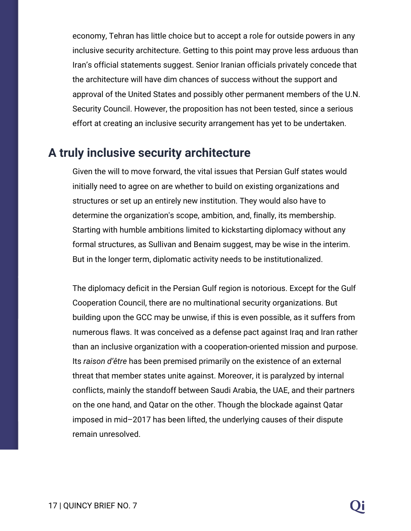economy, Tehran has little choice but to accept a role for outside powers in any inclusive security architecture. Getting to this point may prove less arduous than Iran's official statements suggest. Senior Iranian officials privately concede that the architecture will have dim chances of success without the support and approval of the United States and possibly other permanent members of the U.N. Security Council. However, the proposition has not been tested, since a serious effort at creating an inclusive security arrangement has yet to be undertaken.

#### **A truly inclusive security architecture**

Given the will to move forward, the vital issues that Persian Gulf states would initially need to agree on are whether to build on existing organizations and structures or set up an entirely new institution. They would also have to determine the organization's scope, ambition, and, finally, its membership. Starting with humble ambitions limited to kickstarting diplomacy without any formal structures, as Sullivan and Benaim suggest, may be wise in the interim. But in the longer term, diplomatic activity needs to be institutionalized.

The diplomacy deficit in the Persian Gulf region is notorious. Except for the Gulf Cooperation Council, there are no multinational security organizations. But building upon the GCC may be unwise, if this is even possible, as it suffers from numerous flaws. It was conceived as a defense pact against Iraq and Iran rather than an inclusive organization with a cooperation-oriented mission and purpose. Its *raison d'être* has been premised primarily on the existence of an external threat that member states unite against. Moreover, it is paralyzed by internal conflicts, mainly the standoff between Saudi Arabia, the UAE, and their partners on the one hand, and Qatar on the other. Though the blockade against Qatar imposed in mid–2017 has been lifted, the underlying causes of their dispute remain unresolved.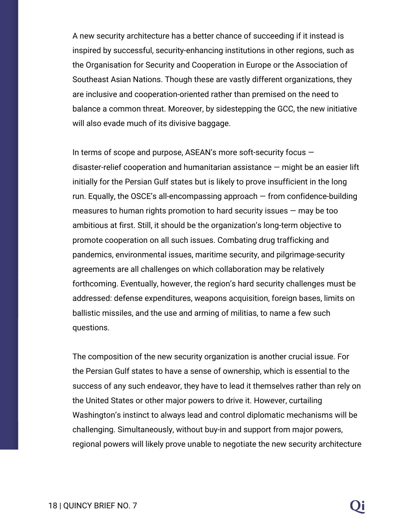A new security architecture has a better chance of succeeding if it instead is inspired by successful, security-enhancing institutions in other regions, such as the Organisation for Security and Cooperation in Europe or the Association of Southeast Asian Nations. Though these are vastly different organizations, they are inclusive and cooperation-oriented rather than premised on the need to balance a common threat. Moreover, by sidestepping the GCC, the new initiative will also evade much of its divisive baggage.

In terms of scope and purpose, ASEAN's more soft-security focus  $$ disaster-relief cooperation and humanitarian assistance — might be an easier lift initially for the Persian Gulf states but is likely to prove insufficient in the long run. Equally, the OSCE's all-encompassing approach — from confidence-building measures to human rights promotion to hard security issues — may be too ambitious at first. Still, it should be the organization's long-term objective to promote cooperation on all such issues. Combating drug trafficking and pandemics, environmental issues, maritime security, and pilgrimage-security agreements are all challenges on which collaboration may be relatively forthcoming. Eventually, however, the region's hard security challenges must be addressed: defense expenditures, weapons acquisition, foreign bases, limits on ballistic missiles, and the use and arming of militias, to name a few such questions.

The composition of the new security organization is another crucial issue. For the Persian Gulf states to have a sense of ownership, which is essential to the success of any such endeavor, they have to lead it themselves rather than rely on the United States or other major powers to drive it. However, curtailing Washington's instinct to always lead and control diplomatic mechanisms will be challenging. Simultaneously, without buy-in and support from major powers, regional powers will likely prove unable to negotiate the new security architecture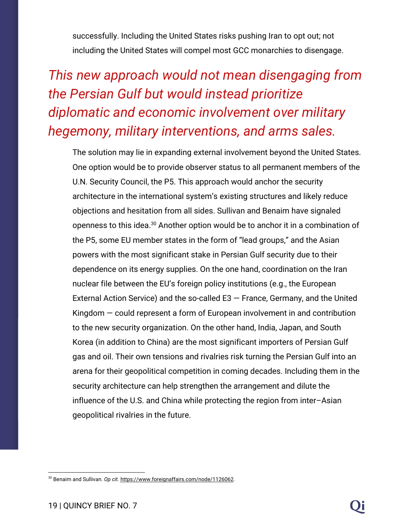successfully. Including the United States risks pushing Iran to opt out; not including the United States will compel most GCC monarchies to disengage.

### *This new approach would not mean disengaging from the Persian Gulf but would instead prioritize diplomatic and economic involvement over military hegemony, military interventions, and arms sales.*

The solution may lie in expanding external involvement beyond the United States. One option would be to provide observer status to all permanent members of the U.N. Security Council, the P5. This approach would anchor the security architecture in the international system's existing structures and likely reduce objections and hesitation from all sides. Sullivan and Benaim have signaled openness to this idea. $30$  Another option would be to anchor it in a combination of the P5, some EU member states in the form of "lead groups," and the Asian powers with the most significant stake in Persian Gulf security due to their dependence on its energy supplies. On the one hand, coordination on the Iran nuclear file between the EU's foreign policy institutions (e.g., the European External Action Service) and the so-called  $E3 - F$ rance, Germany, and the United Kingdom — could represent a form of European involvement in and contribution to the new security organization. On the other hand, India, Japan, and South Korea (in addition to China) are the most significant importers of Persian Gulf gas and oil. Their own tensions and rivalries risk turning the Persian Gulf into an arena for their geopolitical competition in coming decades. Including them in the security architecture can help strengthen the arrangement and dilute the influence of the U.S. and China while protecting the region from inter–Asian geopolitical rivalries in the future.

<sup>30</sup> Benaim and Sullivan. *Op cit.* <https://www.foreignaffairs.com/node/1126062>.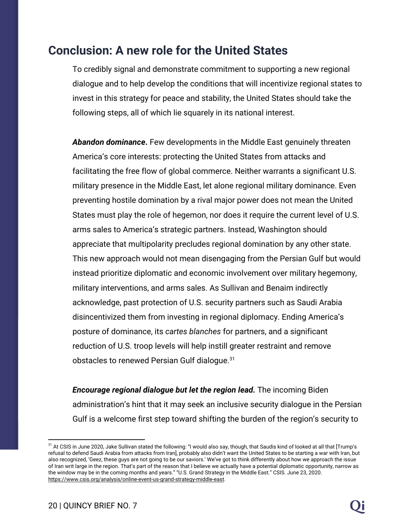#### **Conclusion: A new role for the United States**

To credibly signal and demonstrate commitment to supporting a new regional dialogue and to help develop the conditions that will incentivize regional states to invest in this strategy for peace and stability, the United States should take the following steps, all of which lie squarely in its national interest.

*Abandon dominance***.** Few developments in the Middle East genuinely threaten America's core interests: protecting the United States from attacks and facilitating the free flow of global commerce. Neither warrants a significant U.S. military presence in the Middle East, let alone regional military dominance. Even preventing hostile domination by a rival major power does not mean the United States must play the role of hegemon, nor does it require the current level of U.S. arms sales to America's strategic partners. Instead, Washington should appreciate that multipolarity precludes regional domination by any other state. This new approach would not mean disengaging from the Persian Gulf but would instead prioritize diplomatic and economic involvement over military hegemony, military interventions, and arms sales. As Sullivan and Benaim indirectly acknowledge, past protection of U.S. security partners such as Saudi Arabia disincentivized them from investing in regional diplomacy. Ending America's posture of dominance, its *cartes blanches* for partners, and a significant reduction of U.S. troop levels will help instill greater restraint and remove obstacles to renewed Persian Gulf dialogue.<sup>31</sup>

*Encourage regional dialogue but let the region lead.* The incoming Biden administration's hint that it may seek an inclusive security dialogue in the Persian Gulf is a welcome first step toward shifting the burden of the region's security to

<sup>&</sup>lt;sup>31</sup> At CSIS in June 2020, Jake Sullivan stated the following: "I would also say, though, that Saudis kind of looked at all that [Trump's refusal to defend Saudi Arabia from attacks from Iran], probably also didn't want the United States to be starting a war with Iran, but also recognized, 'Geez, these guys are not going to be our saviors.' We've got to think differently about how we approach the issue of Iran writ large in the region. That's part of the reason that I believe we actually have a potential diplomatic opportunity, narrow as the window may be in the coming months and years." "U.S. Grand Strategy in the Middle East." CSIS. June 23, 2020. <https://www.csis.org/analysis/online-event-us-grand-strategy-middle-east>.